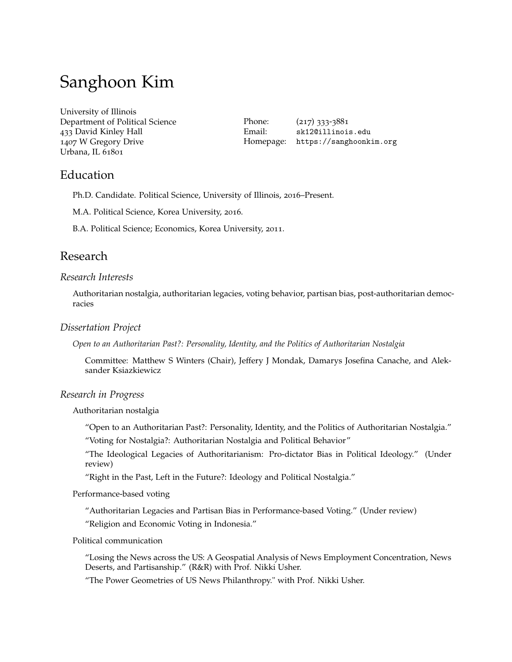# Sanghoon Kim

University of Illinois Department of Political Science 433 David Kinley Hall 1407 W Gregory Drive Urbana, IL 61801

Phone: (217) 333-3881 Email: [sk12@illinois.edu](mailto:sk12@illinois.edu) Homepage: <https://sanghoonkim.org>

## Education

Ph.D. Candidate. Political Science, University of Illinois, 2016–Present.

M.A. Political Science, Korea University, 2016.

B.A. Political Science; Economics, Korea University, 2011.

## Research

## *Research Interests*

Authoritarian nostalgia, authoritarian legacies, voting behavior, partisan bias, post-authoritarian democracies

## *Dissertation Project*

*Open to an Authoritarian Past?: Personality, Identity, and the Politics of Authoritarian Nostalgia*

Committee: Matthew S Winters (Chair), Jeffery J Mondak, Damarys Josefina Canache, and Aleksander Ksiazkiewicz

## *Research in Progress*

Authoritarian nostalgia

"Open to an Authoritarian Past?: Personality, Identity, and the Politics of Authoritarian Nostalgia."

"Voting for Nostalgia?: Authoritarian Nostalgia and Political Behavior"

"The Ideological Legacies of Authoritarianism: Pro-dictator Bias in Political Ideology." (Under review)

"Right in the Past, Left in the Future?: Ideology and Political Nostalgia."

Performance-based voting

"Authoritarian Legacies and Partisan Bias in Performance-based Voting." (Under review) "Religion and Economic Voting in Indonesia."

#### Political communication

"Losing the News across the US: A Geospatial Analysis of News Employment Concentration, News Deserts, and Partisanship." (R&R) with Prof. Nikki Usher.

"The Power Geometries of US News Philanthropy." with Prof. Nikki Usher.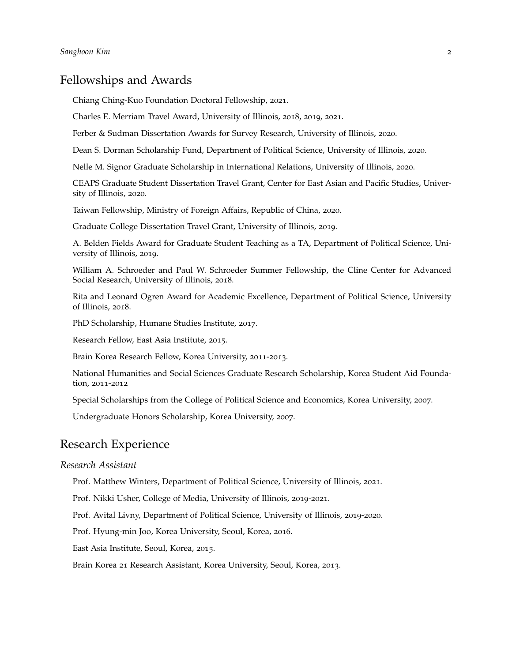## Fellowships and Awards

Chiang Ching-Kuo Foundation Doctoral Fellowship, 2021.

Charles E. Merriam Travel Award, University of Illinois, 2018, 2019, 2021.

Ferber & Sudman Dissertation Awards for Survey Research, University of Illinois, 2020.

Dean S. Dorman Scholarship Fund, Department of Political Science, University of Illinois, 2020.

Nelle M. Signor Graduate Scholarship in International Relations, University of Illinois, 2020.

CEAPS Graduate Student Dissertation Travel Grant, Center for East Asian and Pacific Studies, University of Illinois, 2020.

Taiwan Fellowship, Ministry of Foreign Affairs, Republic of China, 2020.

Graduate College Dissertation Travel Grant, University of Illinois, 2019.

A. Belden Fields Award for Graduate Student Teaching as a TA, Department of Political Science, University of Illinois, 2019.

William A. Schroeder and Paul W. Schroeder Summer Fellowship, the Cline Center for Advanced Social Research, University of Illinois, 2018.

Rita and Leonard Ogren Award for Academic Excellence, Department of Political Science, University of Illinois, 2018.

PhD Scholarship, Humane Studies Institute, 2017.

Research Fellow, East Asia Institute, 2015.

Brain Korea Research Fellow, Korea University, 2011-2013.

National Humanities and Social Sciences Graduate Research Scholarship, Korea Student Aid Foundation, 2011-2012

Special Scholarships from the College of Political Science and Economics, Korea University, 2007.

Undergraduate Honors Scholarship, Korea University, 2007.

## Research Experience

#### *Research Assistant*

Prof. Matthew Winters, Department of Political Science, University of Illinois, 2021.

Prof. Nikki Usher, College of Media, University of Illinois, 2019-2021.

Prof. Avital Livny, Department of Political Science, University of Illinois, 2019-2020.

Prof. Hyung-min Joo, Korea University, Seoul, Korea, 2016.

East Asia Institute, Seoul, Korea, 2015.

Brain Korea 21 Research Assistant, Korea University, Seoul, Korea, 2013.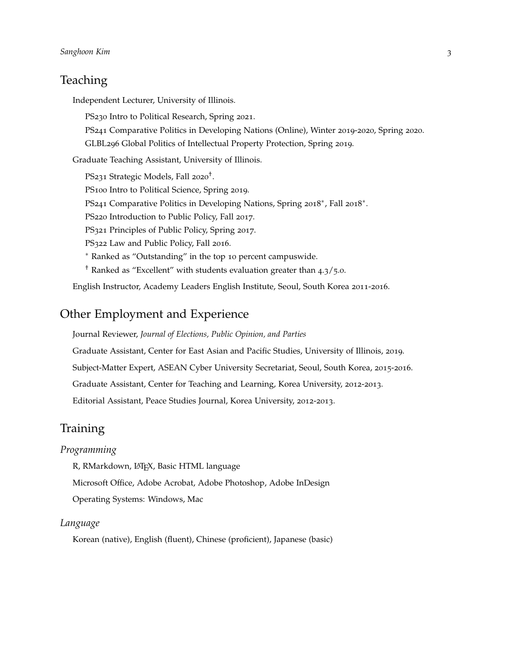# **Teaching**

Independent Lecturer, University of Illinois.

PS230 Intro to Political Research, Spring 2021. PS241 Comparative Politics in Developing Nations (Online), Winter 2019-2020, Spring 2020. GLBL296 Global Politics of Intellectual Property Protection, Spring 2019.

Graduate Teaching Assistant, University of Illinois.

PS231 Strategic Models, Fall 2020<sup>†</sup>. PS100 Intro to Political Science, Spring 2019. PS241 Comparative Politics in Developing Nations, Spring 2018<sup>\*</sup>, Fall 2018<sup>\*</sup>. PS220 Introduction to Public Policy, Fall 2017. PS321 Principles of Public Policy, Spring 2017. PS322 Law and Public Policy, Fall 2016. <sup>∗</sup> Ranked as "Outstanding" in the top 10 percent campuswide. † Ranked as "Excellent" with students evaluation greater than 4.3/5.0.

English Instructor, Academy Leaders English Institute, Seoul, South Korea 2011-2016.

## Other Employment and Experience

Journal Reviewer, *Journal of Elections, Public Opinion, and Parties*

Graduate Assistant, Center for East Asian and Pacific Studies, University of Illinois, 2019.

Subject-Matter Expert, ASEAN Cyber University Secretariat, Seoul, South Korea, 2015-2016.

Graduate Assistant, Center for Teaching and Learning, Korea University, 2012-2013.

Editorial Assistant, Peace Studies Journal, Korea University, 2012-2013.

# Training

#### *Programming*

R, RMarkdown, L<sup>AT</sup>FX, Basic HTML language

Microsoft Office, Adobe Acrobat, Adobe Photoshop, Adobe InDesign

Operating Systems: Windows, Mac

#### *Language*

Korean (native), English (fluent), Chinese (proficient), Japanese (basic)